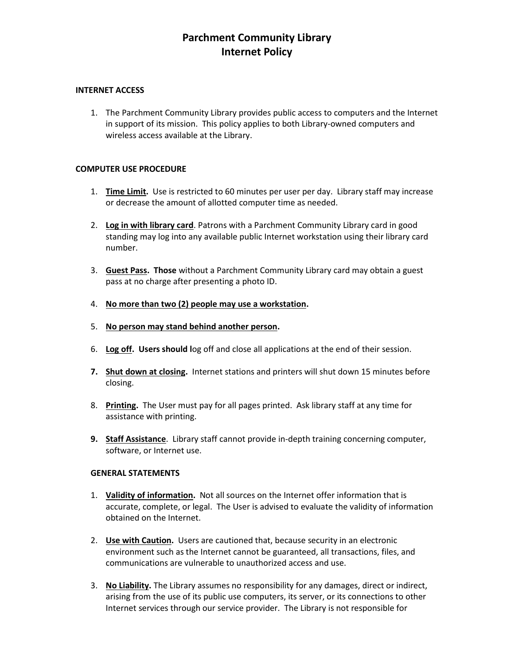#### **INTERNET ACCESS**

1. The Parchment Community Library provides public access to computers and the Internet in support of its mission. This policy applies to both Library-owned computers and wireless access available at the Library.

#### **COMPUTER USE PROCEDURE**

- 1. **Time Limit.** Use is restricted to 60 minutes per user per day. Library staff may increase or decrease the amount of allotted computer time as needed.
- 2. **Log in with library card**. Patrons with a Parchment Community Library card in good standing may log into any available public Internet workstation using their library card number.
- 3. **Guest Pass. Those** without a Parchment Community Library card may obtain a guest pass at no charge after presenting a photo ID.
- 4. **No more than two (2) people may use a workstation.**
- 5. **No person may stand behind another person.**
- 6. **Log off. Users should l**og off and close all applications at the end of their session.
- **7. Shut down at closing.** Internet stations and printers will shut down 15 minutes before closing.
- 8. **Printing.** The User must pay for all pages printed. Ask library staff at any time for assistance with printing.
- **9. Staff Assistance**. Library staff cannot provide in-depth training concerning computer, software, or Internet use.

#### **GENERAL STATEMENTS**

- 1. **Validity of information.** Not all sources on the Internet offer information that is accurate, complete, or legal. The User is advised to evaluate the validity of information obtained on the Internet.
- 2. **Use with Caution.** Users are cautioned that, because security in an electronic environment such as the Internet cannot be guaranteed, all transactions, files, and communications are vulnerable to unauthorized access and use.
- 3. **No Liability.** The Library assumes no responsibility for any damages, direct or indirect, arising from the use of its public use computers, its server, or its connections to other Internet services through our service provider. The Library is not responsible for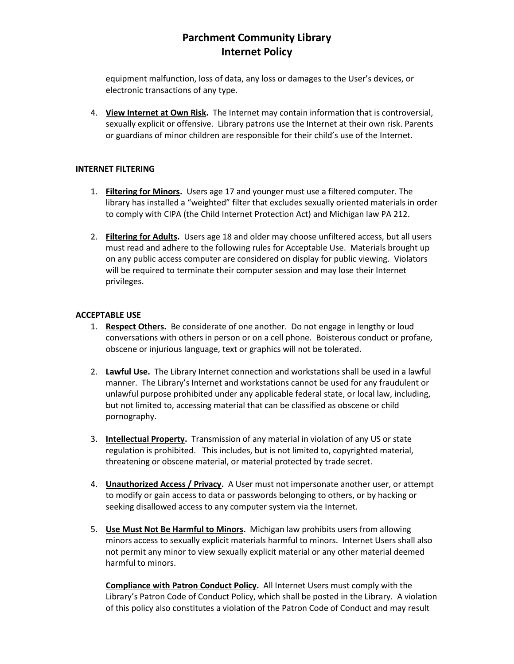equipment malfunction, loss of data, any loss or damages to the User's devices, or electronic transactions of any type.

4. **View Internet at Own Risk.** The Internet may contain information that is controversial, sexually explicit or offensive. Library patrons use the Internet at their own risk. Parents or guardians of minor children are responsible for their child's use of the Internet.

### **INTERNET FILTERING**

- 1. **Filtering for Minors.** Users age 17 and younger must use a filtered computer. The library has installed a "weighted" filter that excludes sexually oriented materials in order to comply with CIPA (the Child Internet Protection Act) and Michigan law PA 212.
- 2. **Filtering for Adults.** Users age 18 and older may choose unfiltered access, but all users must read and adhere to the following rules for Acceptable Use. Materials brought up on any public access computer are considered on display for public viewing. Violators will be required to terminate their computer session and may lose their Internet privileges.

### **ACCEPTABLE USE**

- 1. **Respect Others.** Be considerate of one another. Do not engage in lengthy or loud conversations with others in person or on a cell phone. Boisterous conduct or profane, obscene or injurious language, text or graphics will not be tolerated.
- 2. **Lawful Use.** The Library Internet connection and workstations shall be used in a lawful manner. The Library's Internet and workstations cannot be used for any fraudulent or unlawful purpose prohibited under any applicable federal state, or local law, including, but not limited to, accessing material that can be classified as obscene or child pornography.
- 3. **Intellectual Property.** Transmission of any material in violation of any US or state regulation is prohibited. This includes, but is not limited to, copyrighted material, threatening or obscene material, or material protected by trade secret.
- 4. **Unauthorized Access / Privacy.** A User must not impersonate another user, or attempt to modify or gain access to data or passwords belonging to others, or by hacking or seeking disallowed access to any computer system via the Internet.
- 5. **Use Must Not Be Harmful to Minors.** Michigan law prohibits users from allowing minors access to sexually explicit materials harmful to minors. Internet Users shall also not permit any minor to view sexually explicit material or any other material deemed harmful to minors.

**Compliance with Patron Conduct Policy.** All Internet Users must comply with the Library's Patron Code of Conduct Policy, which shall be posted in the Library. A violation of this policy also constitutes a violation of the Patron Code of Conduct and may result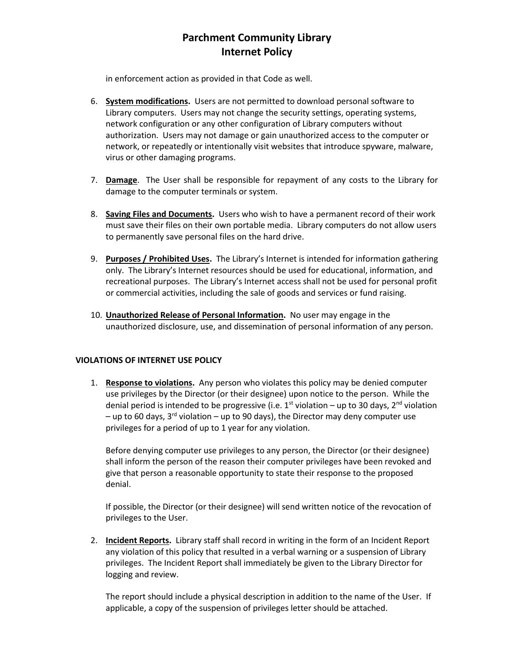in enforcement action as provided in that Code as well.

- 6. **System modifications.** Users are not permitted to download personal software to Library computers. Users may not change the security settings, operating systems, network configuration or any other configuration of Library computers without authorization. Users may not damage or gain unauthorized access to the computer or network, or repeatedly or intentionally visit websites that introduce spyware, malware, virus or other damaging programs.
- 7. **Damage**. The User shall be responsible for repayment of any costs to the Library for damage to the computer terminals or system.
- 8. **Saving Files and Documents.** Users who wish to have a permanent record of their work must save their files on their own portable media. Library computers do not allow users to permanently save personal files on the hard drive.
- 9. **Purposes / Prohibited Uses.** The Library's Internet is intended for information gathering only. The Library's Internet resources should be used for educational, information, and recreational purposes. The Library's Internet access shall not be used for personal profit or commercial activities, including the sale of goods and services or fund raising.
- 10. **Unauthorized Release of Personal Information.** No user may engage in the unauthorized disclosure, use, and dissemination of personal information of any person.

### **VIOLATIONS OF INTERNET USE POLICY**

1. **Response to violations.** Any person who violates this policy may be denied computer use privileges by the Director (or their designee) upon notice to the person. While the denial period is intended to be progressive (i.e.  $1^{st}$  violation – up to 30 days,  $2^{nd}$  violation – up to 60 days, 3<sup>rd</sup> violation – up to 90 days), the Director may deny computer use privileges for a period of up to 1 year for any violation.

Before denying computer use privileges to any person, the Director (or their designee) shall inform the person of the reason their computer privileges have been revoked and give that person a reasonable opportunity to state their response to the proposed denial.

If possible, the Director (or their designee) will send written notice of the revocation of privileges to the User.

2. **Incident Reports.** Library staff shall record in writing in the form of an Incident Report any violation of this policy that resulted in a verbal warning or a suspension of Library privileges. The Incident Report shall immediately be given to the Library Director for logging and review.

The report should include a physical description in addition to the name of the User. If applicable, a copy of the suspension of privileges letter should be attached.